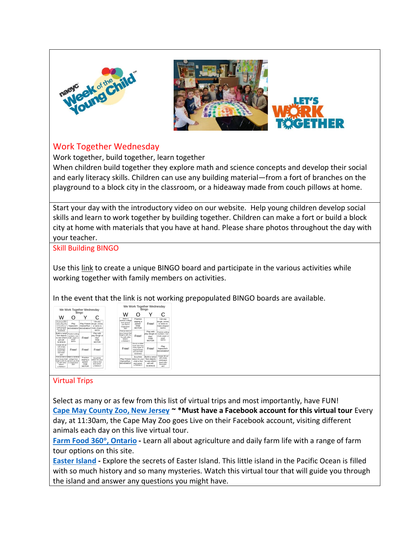



## Work Together Wednesday

Work together, build together, learn together

When children build together they explore math and science concepts and develop their social and early literacy skills. Children can use any building material—from a fort of branches on the playground to a block city in the classroom, or a hideaway made from couch pillows at home.

Start your day with the introductory video on our website. Help young children develop social skills and learn to work together by building together. Children can make a fort or build a block city at home with materials that you have at hand. Please share photos throughout the day with your teacher.

## Skill Building BINGO

Use this [link](http://bingobaker.com/play/3023203) to create a unique BINGO board and participate in the various activities while working together with family members on activities.

In the event that the link is not working prepopulated BINGO boards are available.

| w                                                                                                    | We Work Together Wednesdav<br>×                                                                     | Bingo                                                           | С                                                                              |
|------------------------------------------------------------------------------------------------------|-----------------------------------------------------------------------------------------------------|-----------------------------------------------------------------|--------------------------------------------------------------------------------|
| Go on a critter<br>hunti Roo how<br>many types of<br>buos/animals<br>you can find!<br><b>SCIENCE</b> | Play<br>hopscotch<br>MOVEMENT MOVEMENT make shapes!                                                 | Dance/Run                                                       | Use pay<br>Play Freeze dough, cereal,<br>or sticks to<br><b>MATH</b>           |
| <b>Test objects</b><br>to see which<br>will coll!<br>SCIENCE                                         | Build a ramp! Practice writing<br>numbers, Use<br>chalk, paper or<br>sand<br>MATH                   | Free!                                                           | Play with<br>play dough or<br>clav!<br><b>FINE</b><br><b>MOTOR</b>             |
| Create 3D art<br>with empty<br>toilet/paper<br>treasel endist<br><b>Donnate!</b><br>ART              | Free!                                                                                               | Free!                                                           | Free!                                                                          |
| your house that<br>honing with Ap  <br>Try with other<br>lemers!<br>LITERACY                         | First on item in Moke a rainhour<br>collage from<br>picture you find<br>in magazines!<br><b>ART</b> | Practice<br>zipping a<br>iacket!<br><b>FINE</b><br><b>MOTOR</b> | <b>Burv/Hide</b><br>letters for your<br>child to find<br>and name!<br>LITERACY |



## Virtual Trips

 $\overline{a}$ 

Select as many or as few from this list of virtual trips and most importantly, have FUN! **[Cape May County Zoo, New Jersey](https://www.facebook.com/capemaycountyparkzoo/) ~ \*Must have a Facebook account for this virtual tour Every** day, at 11:30am, the Cape May Zoo goes Live on their Facebook account, visiting different animals each day on this live virtual tour.

**[Farm Food 360](https://www.farmfood360.ca/?utm_source=domain&utm_campaign=www.virtualfarmtours.ca&utm_medium=redirect), Ontario -** Learn all about agriculture and daily farm life with a range of farm tour options on this site.

**[Easter Island](https://www.pbs.org/wgbh/nova/easter/) -** Explore the secrets of Easter Island. This little island in the Pacific Ocean is filled with so much history and so many mysteries. Watch this virtual tour that will guide you through the island and answer any questions you might have.